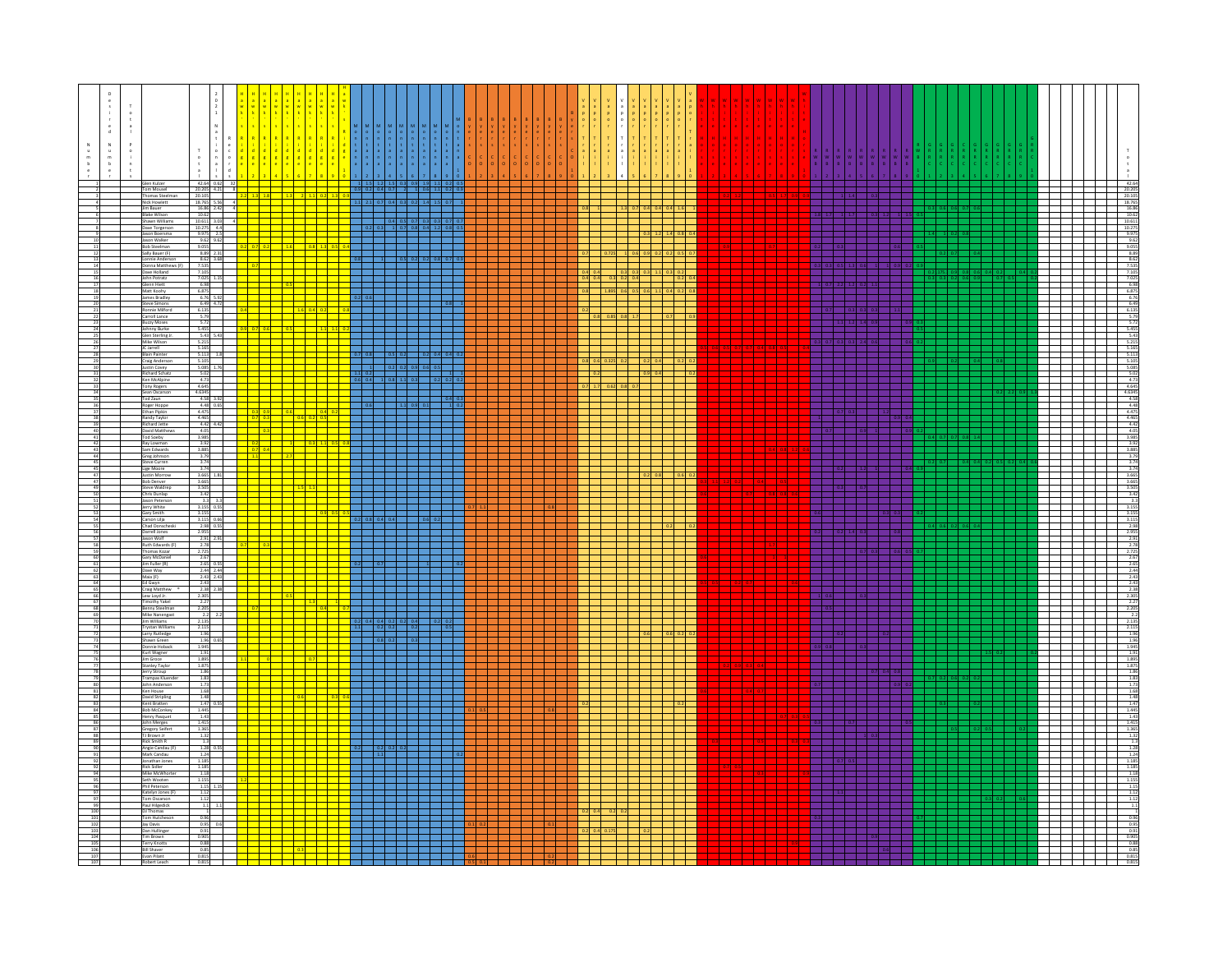|  | Glen Kulzer                                                                                                               |                                                                                                                                        |               |                                 |                                                                                                         |                                           |                      | 42.6                                                                                                                     |
|--|---------------------------------------------------------------------------------------------------------------------------|----------------------------------------------------------------------------------------------------------------------------------------|---------------|---------------------------------|---------------------------------------------------------------------------------------------------------|-------------------------------------------|----------------------|--------------------------------------------------------------------------------------------------------------------------|
|  | Tom Mousel<br>Thomas Steelman<br><b>Nick Howlet</b>                                                                       | $\begin{array}{c cccc} & 42.64 & 0.62 & 32 \\ \hline 20.205 & 4.21 & 8 \\ \hline 20.105 & & & \\ \hline 18.765 & 5.56 & 4 \end{array}$ |               |                                 | $1 \quad 2.1 \quad 0.7 \quad 0.4 \quad 0.3 \quad 0.2 \quad 1.4 \quad 1$                                 | $0.9$ 0.2 0.4 0.7 2 1 0.6 1.1 0.2 0       | ا يكلسك<br>T 1 1 1 1 | $20.205$<br>$20.105$<br>$18.765$                                                                                         |
|  | Jim Bauer<br><b>Blake Wilson</b>                                                                                          | $\begin{array}{r} 16.86 \\ 10.62 \end{array}$                                                                                          |               |                                 |                                                                                                         |                                           |                      |                                                                                                                          |
|  | Shawn Williams<br>Dave Torgerson<br>Jason Boersma                                                                         | $10.611$ 3.03<br>$10.275$ 4.4<br>9.975 2.5<br>9.62 9.62                                                                                |               |                                 | $\begin{array}{ c c c c c c c c c c c } \hline 0.2 & 0.3 & 1 & 0.7 & 0.8 & 0.4 & 1. \hline \end{array}$ | $1$ $0.4$ $0.5$ $0.7$ $0.3$ $0.3$ $0.7$ 0 | $2.3 - 1.2$          |                                                                                                                          |
|  | Jason Walker<br><b>Bob Steelman</b>                                                                                       | 9.055                                                                                                                                  | $0.2$ 0.7 0.2 |                                 |                                                                                                         |                                           | $1 \t 1 \t 0.6$      |                                                                                                                          |
|  | 1909 Steelman<br>Sally Bauer (F) 8.89 2.31<br>Lonnie Anderson 8.62 3.68<br>Donna Matthews (F) 7.535<br>Dave Holland 7.105 |                                                                                                                                        |               |                                 |                                                                                                         |                                           |                      |                                                                                                                          |
|  | John Potratz<br>Glenn Hiett<br>Matt Koohy                                                                                 | 7.025 1.15<br>6.98<br>6.875                                                                                                            |               |                                 |                                                                                                         |                                           |                      |                                                                                                                          |
|  | James Bradley<br><b>Steve Simons</b>                                                                                      | 6.76<br>6.49 4.72                                                                                                                      |               |                                 |                                                                                                         |                                           |                      |                                                                                                                          |
|  | Ronnie Milford<br>Carroll Lance<br><b>Buzzy Moses</b>                                                                     | $6.135$<br>5.79<br>5.72                                                                                                                |               |                                 |                                                                                                         |                                           |                      |                                                                                                                          |
|  | Johnny Burke<br>Glen Sterling Jr.<br>Mike Wilson                                                                          | 5.455<br>5.43 5.43<br>5.215                                                                                                            |               |                                 |                                                                                                         |                                           |                      |                                                                                                                          |
|  | IC Jarrell<br>Blain Painter<br>Craig Anderso                                                                              | 5.165<br>5.113<br>5.105                                                                                                                |               |                                 |                                                                                                         |                                           |                      |                                                                                                                          |
|  | <b>Justin Covey</b><br>Richard Schatz<br>Ken McAlpine                                                                     | 5.085 1.76<br>5.02<br>4.73                                                                                                             |               |                                 | $0.6$ 0.4                                                                                               |                                           |                      |                                                                                                                          |
|  | Tony Rogers<br>Sean Oscarsor<br>Tod Zaun                                                                                  | $4.645$<br>$4.6345$                                                                                                                    |               | <del>┪┪┪┪┪</del><br>╅╅╅╌╌╌╌╌╌╌╌ |                                                                                                         |                                           |                      |                                                                                                                          |
|  | Roger Hoppe<br>Ethan Pipkin<br>Randy Taylor                                                                               | $\begin{array}{r} 4.58 \quad 3.92 \\ 4.48 \quad 0.65 \\ 4.475 \end{array}$<br>4,465                                                    |               |                                 |                                                                                                         |                                           |                      |                                                                                                                          |
|  | <b>Richard Jette</b><br>David Matthe<br>Tod Soeby                                                                         | $4.42$ $4.42$                                                                                                                          |               |                                 |                                                                                                         |                                           |                      |                                                                                                                          |
|  | Ray Lowman<br>Sam Edwards                                                                                                 | $4.05$<br>$3.985$<br>$3.92$<br>$3.885$                                                                                                 |               |                                 |                                                                                                         |                                           |                      |                                                                                                                          |
|  | Greg Johnson<br>Steve Curren<br>Lige Moore                                                                                | $\begin{array}{r} 3.79 \\ \hline 3.74 \\ \hline 3.74 \end{array}$                                                                      |               |                                 |                                                                                                         |                                           |                      |                                                                                                                          |
|  | Justin Morro<br><b>Bob Denver</b><br>Steve Waldrep                                                                        | $\begin{array}{r}\n3.665 \quad 1.81 \\ 3.665\n\end{array}$                                                                             |               | <mark>┆╌╎┈╎┈┈┈</mark>           |                                                                                                         |                                           |                      |                                                                                                                          |
|  | Chris Dunlap<br>Jason Peterson<br>Jerry White                                                                             | $3.605$<br>$3.42$<br>$3.3$<br>$3.155$ 0.55                                                                                             |               |                                 |                                                                                                         |                                           |                      |                                                                                                                          |
|  | Gary Smith<br>Carson Lilja<br>Chad Donscheski                                                                             | 3.155<br>$3.115$ 0.66                                                                                                                  |               |                                 |                                                                                                         |                                           |                      |                                                                                                                          |
|  | Darrell Jones<br>Jason Wolf                                                                                               | $2.955$ $2.91$                                                                                                                         |               |                                 |                                                                                                         |                                           |                      |                                                                                                                          |
|  | Ruth Edwards (F)<br>Thomas Kozar<br>Gary McDaniel                                                                         | 2.78<br>2.725<br>2.67                                                                                                                  |               |                                 |                                                                                                         |                                           |                      |                                                                                                                          |
|  | Jim Fuller (R)<br>Dave Way<br>Maia (F)<br>Ed Gwyn                                                                         | 2.65                                                                                                                                   |               |                                 |                                                                                                         |                                           |                      |                                                                                                                          |
|  | Craig Matthew<br>Lew Loyd Jr.                                                                                             | $2.43$<br>2.43<br>2.43<br>2.38<br>2.38<br>2.305                                                                                        |               | <u>standardi alam baha</u>      |                                                                                                         |                                           |                      |                                                                                                                          |
|  | <b>Timothy Yakel</b><br>Benny Steelman<br>Mike Nanengast                                                                  | 2.27<br>2.205<br>2.2                                                                                                                   |               |                                 |                                                                                                         |                                           |                      |                                                                                                                          |
|  | Jim Williams<br>Trystan Williams<br>Larry Rutledge                                                                        | $\begin{array}{r} 2.135 \\ \hline 2.115 \end{array}$<br>1.96                                                                           |               |                                 |                                                                                                         |                                           |                      |                                                                                                                          |
|  | Shawn Green<br>Donnie Hoback                                                                                              | $\begin{array}{r} 1.945 \\ 1.91 \end{array}$                                                                                           |               |                                 |                                                                                                         |                                           |                      |                                                                                                                          |
|  | Kurt Wagner<br>Jim Groce<br>Stanley Taylor                                                                                | 1.895<br>$\begin{array}{r} 1.875 \\ 1.86 \\ \hline 1.83 \end{array}$                                                                   |               |                                 |                                                                                                         |                                           |                      |                                                                                                                          |
|  | Jerry Stroup<br>Trampas Kluender<br>John Anderson                                                                         |                                                                                                                                        |               |                                 |                                                                                                         |                                           |                      |                                                                                                                          |
|  | Ken House<br>David Stripling<br>Kent Bratten                                                                              | $\frac{1.73}{1.68}$<br>1.48<br>1.47 0.55                                                                                               |               |                                 |                                                                                                         |                                           |                      |                                                                                                                          |
|  | <b>Bob McConkey</b><br>Henry Pasquet                                                                                      | $\begin{array}{r} 1.445 \\ \bf{1.43} \end{array}$                                                                                      |               |                                 |                                                                                                         |                                           |                      |                                                                                                                          |
|  | John Merges<br>Gregory Seifert<br>TJ Brown Jr<br><b>Rick Smith R</b>                                                      | $\begin{array}{r} 1.415 \\ \hline 1.365 \end{array}$<br>1.32                                                                           |               |                                 |                                                                                                         |                                           |                      |                                                                                                                          |
|  | Angie Candau (F)<br>Mark Candau<br>Jonathan Jones                                                                         | 1.28<br>$\begin{array}{r} 1.24 \\ \hline 1.185 \end{array}$                                                                            |               |                                 |                                                                                                         |                                           |                      |                                                                                                                          |
|  | Rick Sidler<br>Mike McWh                                                                                                  | $\begin{array}{r} 1.185 \\ \hline 1.18 \end{array}$                                                                                    |               |                                 |                                                                                                         |                                           |                      |                                                                                                                          |
|  | Seth Wooten<br>Phil Peterson<br>Katelyn Jones (F)                                                                         | $\begin{array}{r} 1.155 \\ \hline 1.15 \end{array}$<br>1.12                                                                            |               |                                 |                                                                                                         |                                           |                      |                                                                                                                          |
|  | Tom Oscarson<br>Paul Hilgedick<br><b>DJ Thomas</b><br>Tom Hutches                                                         | 1.12                                                                                                                                   |               |                                 |                                                                                                         |                                           |                      |                                                                                                                          |
|  | Jay Davis                                                                                                                 | 0.95                                                                                                                                   |               |                                 |                                                                                                         |                                           |                      | $\begin{array}{r} 1.3 \\ \hline 0.96 \\ 0.91 \\ 0.91 \\ 0.905 \\ 0.88 \\ 0.85 \\ 0.815 \\ 0.815 \\ 0.815 \\ \end{array}$ |
|  | Dan Hullings<br>Tim Brown<br><b>Terry Knotts</b><br>Bill Shaver                                                           | $\frac{0.91}{0.905}$<br>$\frac{0.88}{0.85}$                                                                                            |               |                                 |                                                                                                         |                                           |                      |                                                                                                                          |
|  | Evan Pilant<br>Robert Leach                                                                                               | $\frac{0.815}{0.815}$                                                                                                                  |               |                                 |                                                                                                         |                                           |                      |                                                                                                                          |